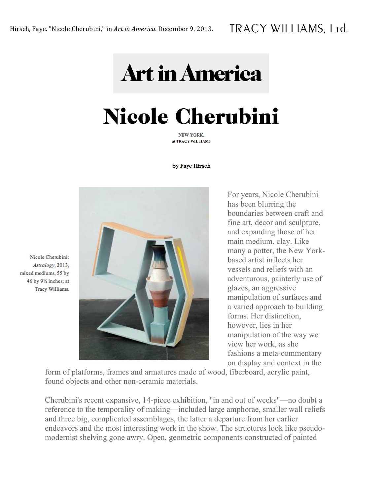## **Art in America**

## **Nicole Cherubini**

NEW YORK. at TRACY WILLIAMS

by Faye Hirsch



For years, Nicole Cherubini has been blurring the boundaries between craft and fine art, decor and sculpture, and expanding those of her main medium, clay. Like many a potter, the New Yorkbased artist inflects her vessels and reliefs with an adventurous, painterly use of glazes, an aggressive manipulation of surfaces and a varied approach to building forms. Her distinction, however, lies in her manipulation of the way we view her work, as she fashions a meta-commentary on display and context in the

form of platforms, frames and armatures made of wood, fiberboard, acrylic paint, found objects and other non-ceramic materials.

Cherubini's recent expansive, 14-piece exhibition, "in and out of weeks"—no doubt a reference to the temporality of making—included large amphorae, smaller wall reliefs and three big, complicated assemblages, the latter a departure from her earlier endeavors and the most interesting work in the show. The structures look like pseudomodernist shelving gone awry. Open, geometric components constructed of painted

Nicole Cherubini: Astralogy, 2013, mixed mediums, 55 by 46 by 91/2 inches; at Tracy Williams.